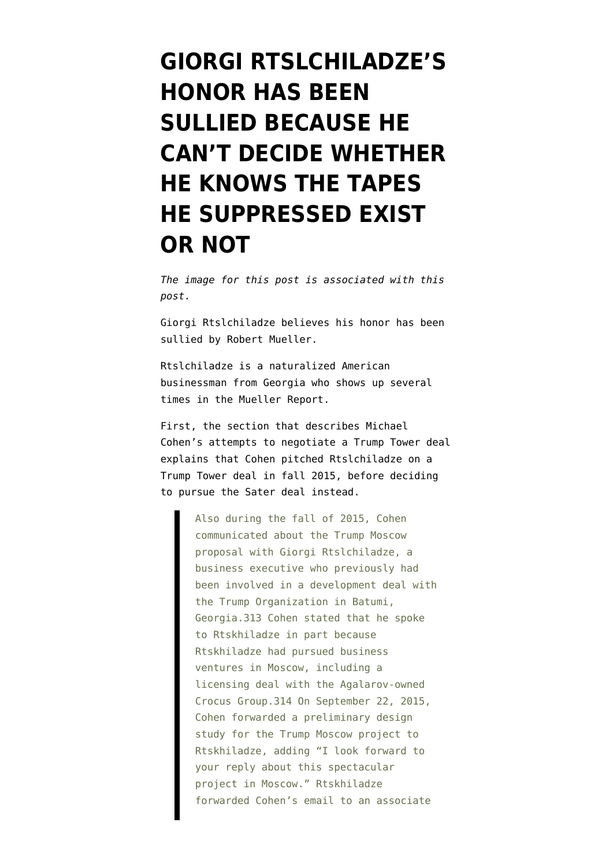## **[GIORGI RTSLCHILADZE'S](https://www.emptywheel.net/2019/04/25/giorgi-rtslchiladzes-honor-has-been-sullied-because-he-cant-decide-whether-he-knows-the-tapes-he-suppressed-exist-or-not/) [HONOR HAS BEEN](https://www.emptywheel.net/2019/04/25/giorgi-rtslchiladzes-honor-has-been-sullied-because-he-cant-decide-whether-he-knows-the-tapes-he-suppressed-exist-or-not/) [SULLIED BECAUSE HE](https://www.emptywheel.net/2019/04/25/giorgi-rtslchiladzes-honor-has-been-sullied-because-he-cant-decide-whether-he-knows-the-tapes-he-suppressed-exist-or-not/) [CAN'T DECIDE WHETHER](https://www.emptywheel.net/2019/04/25/giorgi-rtslchiladzes-honor-has-been-sullied-because-he-cant-decide-whether-he-knows-the-tapes-he-suppressed-exist-or-not/) [HE KNOWS THE TAPES](https://www.emptywheel.net/2019/04/25/giorgi-rtslchiladzes-honor-has-been-sullied-because-he-cant-decide-whether-he-knows-the-tapes-he-suppressed-exist-or-not/) [HE SUPPRESSED EXIST](https://www.emptywheel.net/2019/04/25/giorgi-rtslchiladzes-honor-has-been-sullied-because-he-cant-decide-whether-he-knows-the-tapes-he-suppressed-exist-or-not/) [OR NOT](https://www.emptywheel.net/2019/04/25/giorgi-rtslchiladzes-honor-has-been-sullied-because-he-cant-decide-whether-he-knows-the-tapes-he-suppressed-exist-or-not/)**

*The image for this post is associated with [this](https://www.emptywheel.net/2018/06/11/i-mean-his-trump-organization-employees/) [post](https://www.emptywheel.net/2018/06/11/i-mean-his-trump-organization-employees/).*

Giorgi Rtslchiladze believes his honor has been sullied by Robert Mueller.

Rtslchiladze is a naturalized American businessman from Georgia who shows up several times in [the Mueller Report](https://www.emptywheel.net/wp-content/uploads/2019/04/Mueller-report-600-dpi.CV01.pdf).

First, the section that describes Michael Cohen's attempts to negotiate a Trump Tower deal explains that Cohen pitched Rtslchiladze on a Trump Tower deal in fall 2015, before deciding to pursue the Sater deal instead.

> Also during the fall of 2015, Cohen communicated about the Trump Moscow proposal with Giorgi Rtslchiladze, a business executive who previously had been involved in a development deal with the Trump Organization in Batumi, Georgia.313 Cohen stated that he spoke to Rtskhiladze in part because Rtskhiladze had pursued business ventures in Moscow, including a licensing deal with the Agalarov-owned Crocus Group.314 On September 22, 2015, Cohen forwarded a preliminary design study for the Trump Moscow project to Rtskhiladze, adding "I look forward to your reply about this spectacular project in Moscow." Rtskhiladze forwarded Cohen's email to an associate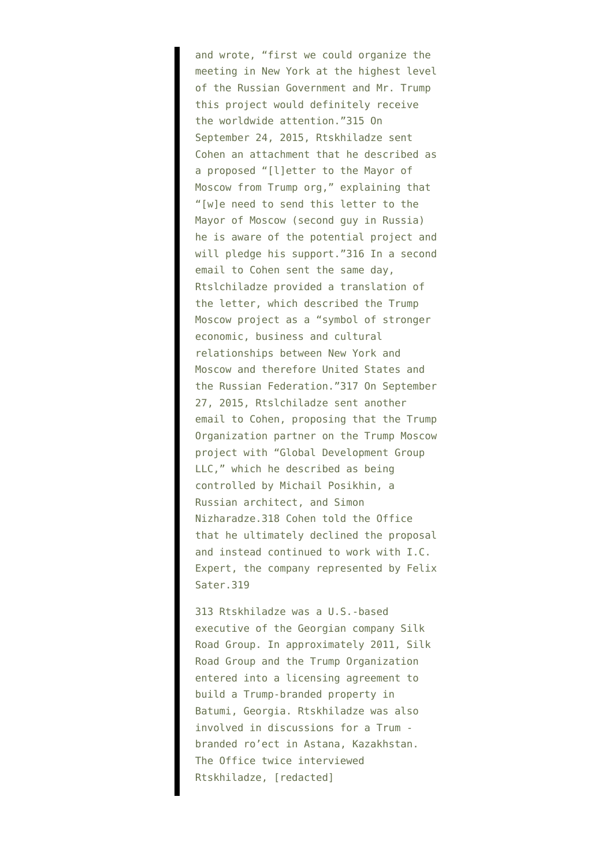and wrote, "first we could organize the meeting in New York at the highest level of the Russian Government and Mr. Trump this project would definitely receive the worldwide attention."315 On September 24, 2015, Rtskhiladze sent Cohen an attachment that he described as a proposed "[l]etter to the Mayor of Moscow from Trump org," explaining that "[w]e need to send this letter to the Mayor of Moscow (second guy in Russia) he is aware of the potential project and will pledge his support."316 In a second email to Cohen sent the same day, Rtslchiladze provided a translation of the letter, which described the Trump Moscow project as a "symbol of stronger economic, business and cultural relationships between New York and Moscow and therefore United States and the Russian Federation."317 On September 27, 2015, Rtslchiladze sent another email to Cohen, proposing that the Trump Organization partner on the Trump Moscow project with "Global Development Group LLC," which he described as being controlled by Michail Posikhin, a Russian architect, and Simon Nizharadze.318 Cohen told the Office that he ultimately declined the proposal and instead continued to work with I.C. Expert, the company represented by Felix Sater.319

313 Rtskhiladze was a U.S.-based executive of the Georgian company Silk Road Group. In approximately 2011, Silk Road Group and the Trump Organization entered into a licensing agreement to build a Trump-branded property in Batumi, Georgia. Rtskhiladze was also involved in discussions for a Trum branded ro'ect in Astana, Kazakhstan. The Office twice interviewed Rtskhiladze, [redacted]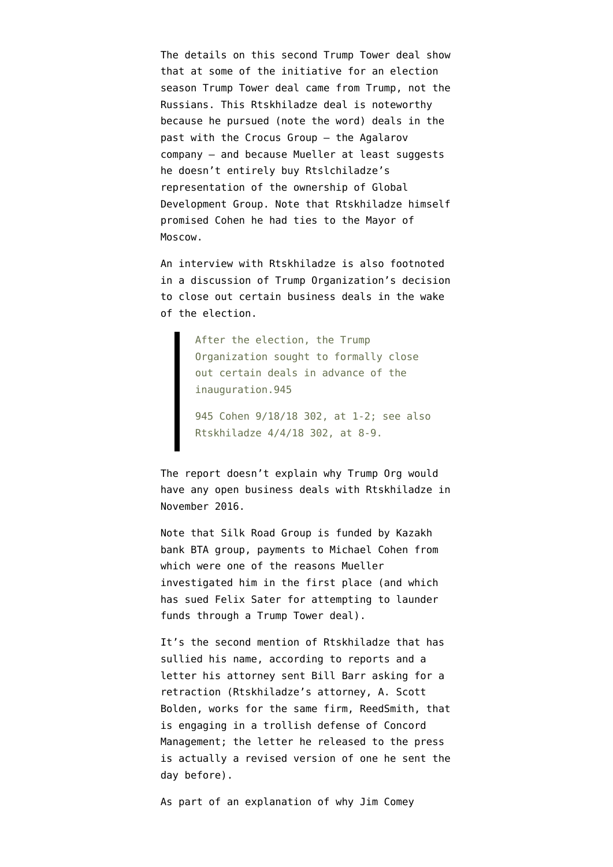The details on this second Trump Tower deal show that at some of the initiative for an election season Trump Tower deal came from Trump, not the Russians. This Rtskhiladze deal is noteworthy because he pursued (note the word) deals in the past with the Crocus Group — the Agalarov company — and because Mueller at least suggests he doesn't entirely buy Rtslchiladze's representation of the ownership of Global Development Group. Note that Rtskhiladze himself promised Cohen he had ties to the Mayor of Moscow.

An interview with Rtskhiladze is also footnoted in a discussion of Trump Organization's decision to close out certain business deals in the wake of the election.

> After the election, the Trump Organization sought to formally close out certain deals in advance of the inauguration.945

945 Cohen 9/18/18 302, at 1-2; see also Rtskhiladze 4/4/18 302, at 8-9.

The report doesn't explain why Trump Org would have any open business deals with Rtskhiladze in November 2016.

Note that Silk Road Group is [funded by Kazakh](https://www.newyorker.com/magazine/2017/08/21/trumps-business-of-corruption) [bank BTA group](https://www.newyorker.com/magazine/2017/08/21/trumps-business-of-corruption), [payments to Michael Cohen from](https://www.emptywheel.net/2019/03/20/mueller-kept-cohens-russian-sleazy-influence-peddling/) [which](https://www.emptywheel.net/2019/03/20/mueller-kept-cohens-russian-sleazy-influence-peddling/) were one of the reasons Mueller investigated him in the first place (and which has [sued Felix Sater](https://www.bloomberg.com/news/articles/2019-03-25/sater-eyed-trump-moscow-tower-to-launder-money-kazakh-bank-says) for attempting to launder funds through a Trump Tower deal).

It's the second mention of Rtskhiladze that has sullied his name, according to [reports](https://www.bloomberg.com/news/articles/2019-04-24/rtskhiladze-cohen-trump-russia-tapes) and a [letter](https://www.scribd.com/document/407493978/Giorgi-Rtskhiladze-letter-to-DOJ#from_embed) his attorney sent Bill Barr asking for a retraction (Rtskhiladze's attorney, A. Scott Bolden, works for the same firm, ReedSmith, that is engaging in a trollish defense of Concord Management; the letter he released to the press is actually a revised version of one he sent the day before).

As part of an explanation of why Jim Comey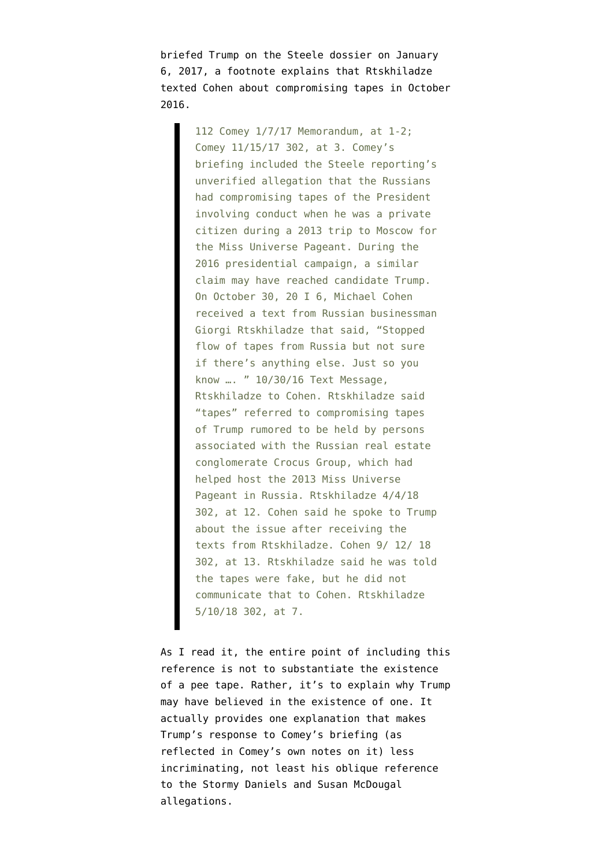briefed Trump on the Steele dossier on January 6, 2017, a footnote explains that Rtskhiladze texted Cohen about compromising tapes in October 2016.

> 112 Comey 1/7/17 Memorandum, at 1-2; Comey 11/15/17 302, at 3. Comey's briefing included the Steele reporting's unverified allegation that the Russians had compromising tapes of the President involving conduct when he was a private citizen during a 2013 trip to Moscow for the Miss Universe Pageant. During the 2016 presidential campaign, a similar claim may have reached candidate Trump. On October 30, 20 I 6, Michael Cohen received a text from Russian businessman Giorgi Rtskhiladze that said, "Stopped flow of tapes from Russia but not sure if there's anything else. Just so you know …. " 10/30/16 Text Message, Rtskhiladze to Cohen. Rtskhiladze said "tapes" referred to compromising tapes of Trump rumored to be held by persons associated with the Russian real estate conglomerate Crocus Group, which had helped host the 2013 Miss Universe Pageant in Russia. Rtskhiladze 4/4/18 302, at 12. Cohen said he spoke to Trump about the issue after receiving the texts from Rtskhiladze. Cohen 9/ 12/ 18 302, at 13. Rtskhiladze said he was told the tapes were fake, but he did not communicate that to Cohen. Rtskhiladze 5/10/18 302, at 7.

As I read it, the entire point of including this reference is not to substantiate the existence of a pee tape. Rather, it's to explain why Trump may have believed in the existence of one. It actually provides one explanation that makes Trump's response to Comey's briefing (as reflected in [Comey's own notes on it](https://www.documentcloud.org/documents/4442900-Ex-FBI-Director-James-Comey-s-memos.html)) less incriminating, not least his oblique reference to the Stormy Daniels and Susan McDougal allegations.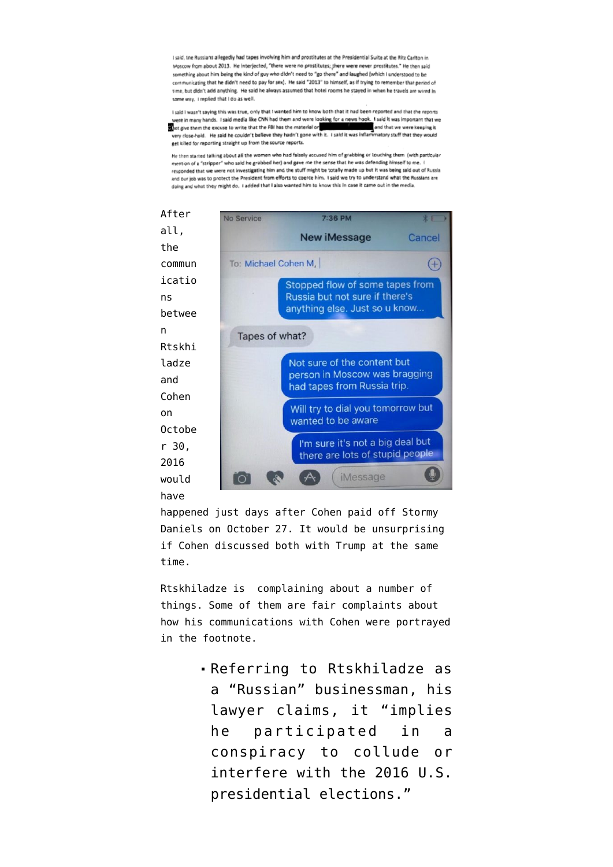I said, the Russians allegedly had tapes involving him and prostitutes at the Presidential Suite at the Ritz Carlton in Moscow from about 2013. He interjected, "there were no prostitutes; there were never prostitutes." He then said something about him being the kind of guy who didn't need to "go there" and laughed (which I understood to be communicating that he didn't need to pay for sex). He said "2013" to himself, as if trying to remember that period of time, but didn't add anything. He said he always assumed that hotel rooms he stayed in when he travels are wired in some way, I replied that I do as well

I said I wasn't saving this was true, only that I wanted him to know both that it had been reported and that the reports were in many hands. I said media like CNN had them and were looking for a news hook. I said it was important that we hot give them the excuse to write that the FBI has the material or and that we were keeping it very close-hold. He said he couldn't believe they hadn't gone with it. I said it was inflar matory stuff that they would eet killed for reporting straight up from the source reports.

He then started talking about all the women who had falsely accused him of grabbing or touching them (with particular mention of a "stripper" who said he grabbed her) and gave me the sense that he was defending himself to me. responded that we were not investigating him and the stuff might be totally made up but it was being said out of Russia and our job was to protect the President from efforts to coerce him. I said we try to understand what the Russians are doing and what they might do. I added that I also wanted him to know this in case it came out in the media.



happened just days after Cohen paid off Stormy Daniels on October 27. It would be unsurprising if Cohen discussed both with Trump at the same time.

Rtskhiladze is complaining about a number of things. Some of them are fair complaints about how his communications with Cohen were portrayed in the footnote.

> Referring to Rtskhiladze as a "Russian" businessman, his lawyer claims, it "implies he participated in a conspiracy to collude or interfere with the 2016 U.S. presidential elections."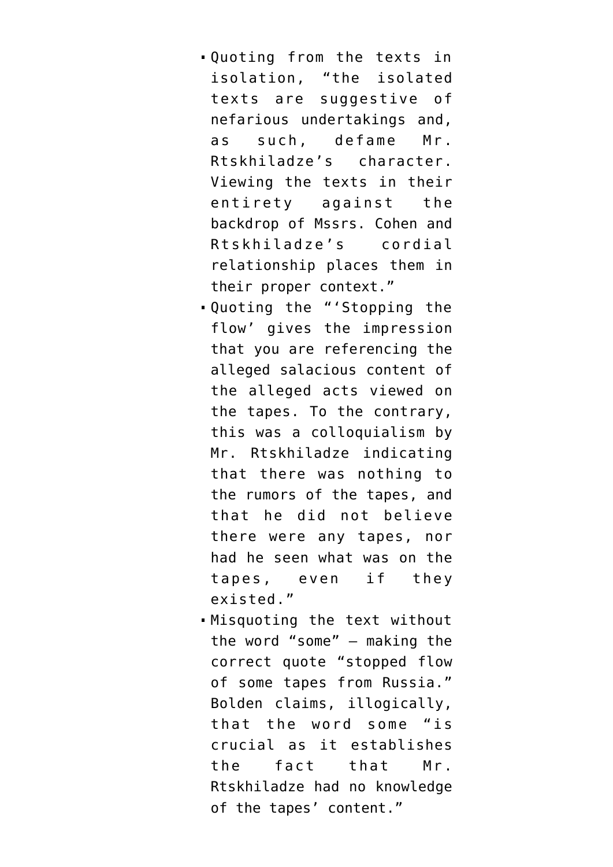- Quoting from the texts in isolation, "the isolated texts are suggestive of nefarious undertakings and, as such, defame Mr. Rtskhiladze's character. Viewing the texts in their entirety against the backdrop of Mssrs. Cohen and Rtskhiladze's cordial relationship places them in their proper context."
- Quoting the "'Stopping the flow' gives the impression that you are referencing the alleged salacious content of the alleged acts viewed on the tapes. To the contrary, this was a colloquialism by Mr. Rtskhiladze indicating that there was nothing to the rumors of the tapes, and that he did not believe there were any tapes, nor had he seen what was on the tapes, even if they existed."
- Misquoting the text without the word "some" — making the correct quote "stopped flow of some tapes from Russia." Bolden claims, illogically, that the word some "is crucial as it establishes the fact that Mr. Rtskhiladze had no knowledge of the tapes' content."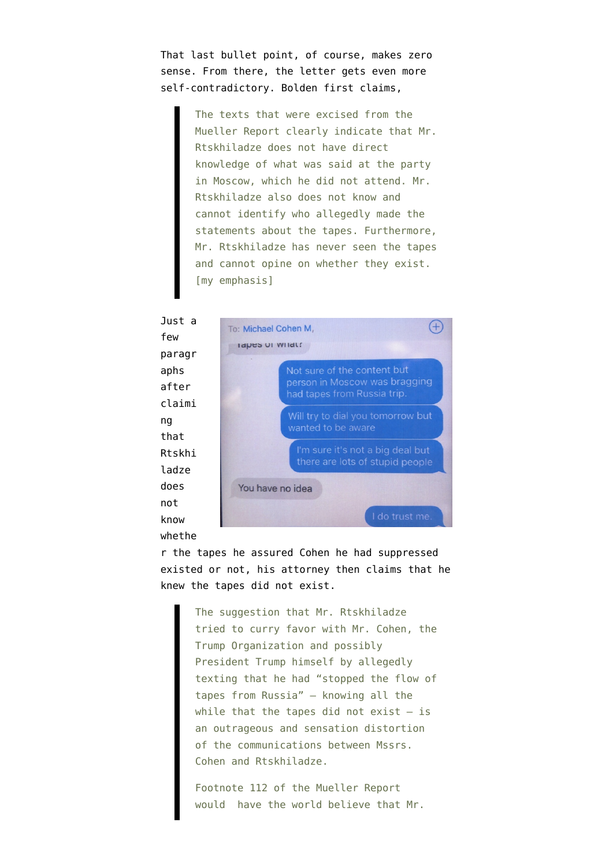That last bullet point, of course, makes zero sense. From there, the letter gets even more self-contradictory. Bolden first claims,

> The texts that were excised from the Mueller Report clearly indicate that Mr. Rtskhiladze does not have direct knowledge of what was said at the party in Moscow, which he did not attend. Mr. Rtskhiladze also does not know and cannot identify who allegedly made the statements about the tapes. Furthermore, Mr. Rtskhiladze has never seen the tapes and cannot opine on whether they exist. [my emphasis]

Just a few paragr aphs after claimi ng that Rtskhi ladze does not know whethe



r the tapes he assured Cohen he had suppressed existed or not, his attorney then claims that he knew the tapes did not exist.

> The suggestion that Mr. Rtskhiladze tried to curry favor with Mr. Cohen, the Trump Organization and possibly President Trump himself by allegedly texting that he had "stopped the flow of tapes from Russia" — knowing all the while that the tapes did not exist  $-$  is an outrageous and sensation distortion of the communications between Mssrs. Cohen and Rtskhiladze.

Footnote 112 of the Mueller Report would have the world believe that Mr.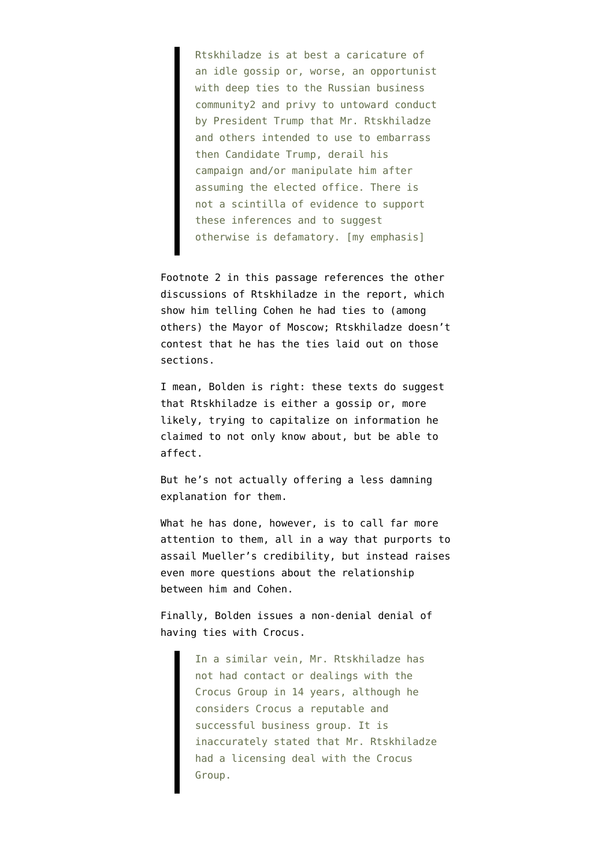Rtskhiladze is at best a caricature of an idle gossip or, worse, an opportunist with deep ties to the Russian business community2 and privy to untoward conduct by President Trump that Mr. Rtskhiladze and others intended to use to embarrass then Candidate Trump, derail his campaign and/or manipulate him after assuming the elected office. There is not a scintilla of evidence to support these inferences and to suggest otherwise is defamatory. [my emphasis]

Footnote 2 in this passage references the other discussions of Rtskhiladze in the report, which show him telling Cohen he had ties to (among others) the Mayor of Moscow; Rtskhiladze doesn't contest that he has the ties laid out on those sections.

I mean, Bolden is right: these texts do suggest that Rtskhiladze is either a gossip or, more likely, trying to capitalize on information he claimed to not only know about, but be able to affect.

But he's not actually offering a less damning explanation for them.

What he has done, however, is to call far more attention to them, all in a way that purports to assail Mueller's credibility, but instead raises even more questions about the relationship between him and Cohen.

Finally, Bolden issues a non-denial denial of having ties with Crocus.

> In a similar vein, Mr. Rtskhiladze has not had contact or dealings with the Crocus Group in 14 years, although he considers Crocus a reputable and successful business group. It is inaccurately stated that Mr. Rtskhiladze had a licensing deal with the Crocus Group.